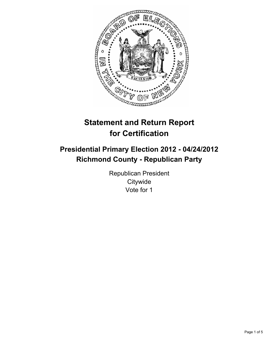

# **Statement and Return Report for Certification**

## **Presidential Primary Election 2012 - 04/24/2012 Richmond County - Republican Party**

Republican President **Citywide** Vote for 1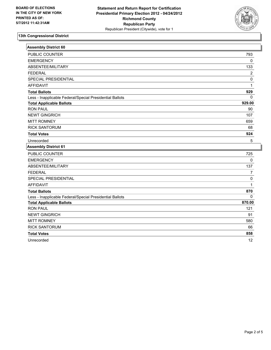

#### **13th Congressional District**

| <b>Assembly District 60</b>                              |                |
|----------------------------------------------------------|----------------|
| PUBLIC COUNTER                                           | 793            |
| <b>EMERGENCY</b>                                         | $\pmb{0}$      |
| ABSENTEE/MILITARY                                        | 133            |
| <b>FEDERAL</b>                                           | $\overline{2}$ |
| SPECIAL PRESIDENTIAL                                     | $\pmb{0}$      |
| <b>AFFIDAVIT</b>                                         | $\mathbf{1}$   |
| <b>Total Ballots</b>                                     | 929            |
| Less - Inapplicable Federal/Special Presidential Ballots | $\mathbf 0$    |
| <b>Total Applicable Ballots</b>                          | 929.00         |
| <b>RON PAUL</b>                                          | 90             |
| <b>NEWT GINGRICH</b>                                     | 107            |
| <b>MITT ROMNEY</b>                                       | 659            |
| <b>RICK SANTORUM</b>                                     | 68             |
| <b>Total Votes</b>                                       | 924            |
| Unrecorded                                               | 5              |
| <b>Assembly District 61</b>                              |                |
| PUBLIC COUNTER                                           | 725            |
|                                                          |                |
| <b>EMERGENCY</b>                                         | $\mathbf 0$    |
| ABSENTEE/MILITARY                                        | 137            |
| <b>FEDERAL</b>                                           | $\overline{7}$ |
| SPECIAL PRESIDENTIAL                                     | $\pmb{0}$      |
| <b>AFFIDAVIT</b>                                         | $\mathbf 1$    |
| <b>Total Ballots</b>                                     | 870            |
| Less - Inapplicable Federal/Special Presidential Ballots | $\mathbf{0}$   |
| <b>Total Applicable Ballots</b>                          | 870.00         |
| <b>RON PAUL</b>                                          | 121            |
| <b>NEWT GINGRICH</b>                                     | 91             |
| <b>MITT ROMNEY</b>                                       | 580            |
| <b>RICK SANTORUM</b>                                     | 66             |
| <b>Total Votes</b>                                       | 858            |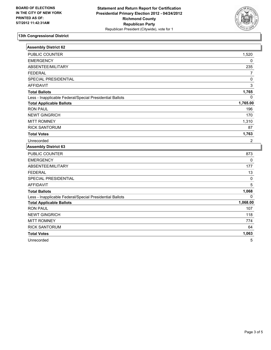

#### **13th Congressional District**

| <b>Assembly District 62</b>                              |                |
|----------------------------------------------------------|----------------|
| PUBLIC COUNTER                                           | 1,520          |
| <b>EMERGENCY</b>                                         | 0              |
| ABSENTEE/MILITARY                                        | 235            |
| <b>FEDERAL</b>                                           | 7              |
| SPECIAL PRESIDENTIAL                                     | 0              |
| <b>AFFIDAVIT</b>                                         | 3              |
| <b>Total Ballots</b>                                     | 1,765          |
| Less - Inapplicable Federal/Special Presidential Ballots | 0              |
| <b>Total Applicable Ballots</b>                          | 1,765.00       |
| <b>RON PAUL</b>                                          | 196            |
| <b>NEWT GINGRICH</b>                                     | 170            |
| <b>MITT ROMNEY</b>                                       | 1,310          |
| <b>RICK SANTORUM</b>                                     | 87             |
| <b>Total Votes</b>                                       | 1,763          |
| Unrecorded                                               | $\overline{2}$ |
| <b>Assembly District 63</b>                              |                |
| <b>PUBLIC COUNTER</b>                                    | 873            |
| <b>EMERGENCY</b>                                         | 0              |
| ABSENTEE/MILITARY                                        | 177            |
| <b>FEDERAL</b>                                           | 13             |
| SPECIAL PRESIDENTIAL                                     | 0              |
| <b>AFFIDAVIT</b>                                         | 5              |
| <b>Total Ballots</b>                                     | 1,068          |
| Less - Inapplicable Federal/Special Presidential Ballots | $\Omega$       |
| <b>Total Applicable Ballots</b>                          | 1,068.00       |
| <b>RON PAUL</b>                                          | 107            |
| <b>NEWT GINGRICH</b>                                     | 118            |
| <b>MITT ROMNEY</b>                                       | 774            |
| <b>RICK SANTORUM</b>                                     | 64             |
| <b>Total Votes</b>                                       | 1,063          |
| Unrecorded                                               | 5              |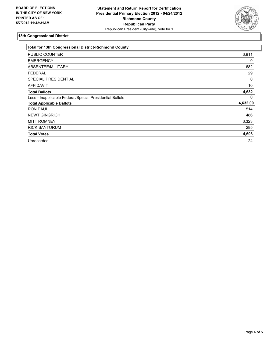

#### **13th Congressional District**

| <b>Total for 13th Congressional District-Richmond County</b> |          |
|--------------------------------------------------------------|----------|
| PUBLIC COUNTER                                               | 3,911    |
| <b>EMERGENCY</b>                                             | 0        |
| <b>ABSENTEE/MILITARY</b>                                     | 682      |
| <b>FEDERAL</b>                                               | 29       |
| <b>SPECIAL PRESIDENTIAL</b>                                  | 0        |
| AFFIDAVIT                                                    | 10       |
| <b>Total Ballots</b>                                         | 4,632    |
| Less - Inapplicable Federal/Special Presidential Ballots     | 0        |
| <b>Total Applicable Ballots</b>                              | 4,632.00 |
| <b>RON PAUL</b>                                              | 514      |
| <b>NEWT GINGRICH</b>                                         | 486      |
| <b>MITT ROMNEY</b>                                           | 3,323    |
| <b>RICK SANTORUM</b>                                         | 285      |
| <b>Total Votes</b>                                           | 4,608    |
| Unrecorded                                                   | 24       |